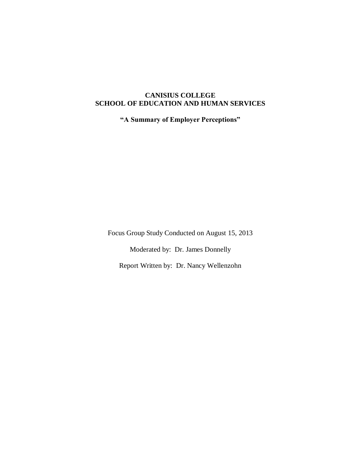# **CANISIUS COLLEGE SCHOOL OF EDUCATION AND HUMAN SERVICES**

**"A Summary of Employer Perceptions"**

Focus Group Study Conducted on August 15, 2013

Moderated by: Dr. James Donnelly

Report Written by: Dr. Nancy Wellenzohn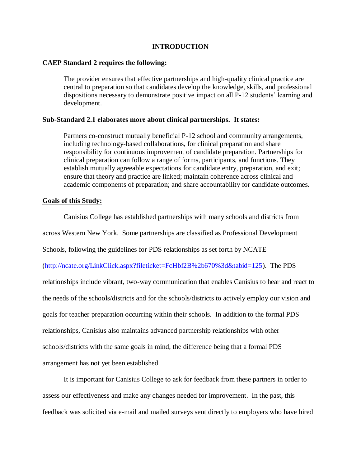### **INTRODUCTION**

#### **CAEP Standard 2 requires the following:**

The provider ensures that effective partnerships and high-quality clinical practice are central to preparation so that candidates develop the knowledge, skills, and professional dispositions necessary to demonstrate positive impact on all P-12 students' learning and development.

### **Sub-Standard 2.1 elaborates more about clinical partnerships. It states:**

Partners co-construct mutually beneficial P-12 school and community arrangements, including technology-based collaborations, for clinical preparation and share responsibility for continuous improvement of candidate preparation. Partnerships for clinical preparation can follow a range of forms, participants, and functions. They establish mutually agreeable expectations for candidate entry, preparation, and exit; ensure that theory and practice are linked; maintain coherence across clinical and academic components of preparation; and share accountability for candidate outcomes.

#### **Goals of this Study:**

Canisius College has established partnerships with many schools and districts from

across Western New York. Some partnerships are classified as Professional Development

Schools, following the guidelines for PDS relationships as set forth by NCATE

[\(http://ncate.org/LinkClick.aspx?fileticket=FcHbf2B%2b670%3d&tabid=125\)](http://ncate.org/LinkClick.aspx?fileticket=FcHbf2B%2b670%3d&tabid=125). The PDS

relationships include vibrant, two-way communication that enables Canisius to hear and react to the needs of the schools/districts and for the schools/districts to actively employ our vision and goals for teacher preparation occurring within their schools. In addition to the formal PDS relationships, Canisius also maintains advanced partnership relationships with other schools/districts with the same goals in mind, the difference being that a formal PDS arrangement has not yet been established.

It is important for Canisius College to ask for feedback from these partners in order to assess our effectiveness and make any changes needed for improvement. In the past, this feedback was solicited via e-mail and mailed surveys sent directly to employers who have hired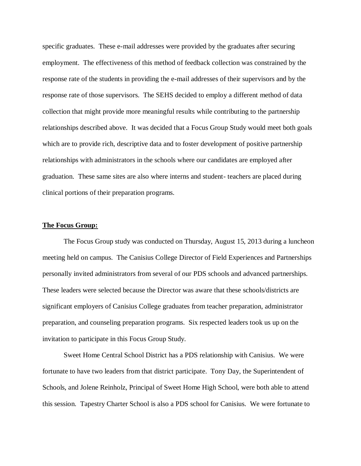specific graduates. These e-mail addresses were provided by the graduates after securing employment. The effectiveness of this method of feedback collection was constrained by the response rate of the students in providing the e-mail addresses of their supervisors and by the response rate of those supervisors. The SEHS decided to employ a different method of data collection that might provide more meaningful results while contributing to the partnership relationships described above. It was decided that a Focus Group Study would meet both goals which are to provide rich, descriptive data and to foster development of positive partnership relationships with administrators in the schools where our candidates are employed after graduation. These same sites are also where interns and student- teachers are placed during clinical portions of their preparation programs.

#### **The Focus Group:**

The Focus Group study was conducted on Thursday, August 15, 2013 during a luncheon meeting held on campus. The Canisius College Director of Field Experiences and Partnerships personally invited administrators from several of our PDS schools and advanced partnerships. These leaders were selected because the Director was aware that these schools/districts are significant employers of Canisius College graduates from teacher preparation, administrator preparation, and counseling preparation programs. Six respected leaders took us up on the invitation to participate in this Focus Group Study.

Sweet Home Central School District has a PDS relationship with Canisius. We were fortunate to have two leaders from that district participate. Tony Day, the Superintendent of Schools, and Jolene Reinholz, Principal of Sweet Home High School, were both able to attend this session. Tapestry Charter School is also a PDS school for Canisius. We were fortunate to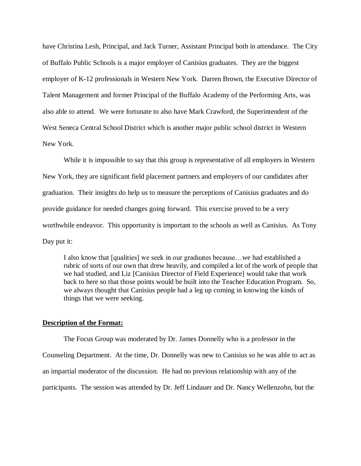have Christina Lesh, Principal, and Jack Turner, Assistant Principal both in attendance. The City of Buffalo Public Schools is a major employer of Canisius graduates. They are the biggest employer of K-12 professionals in Western New York. Darren Brown, the Executive Director of Talent Management and former Principal of the Buffalo Academy of the Performing Arts, was also able to attend. We were fortunate to also have Mark Crawford, the Superintendent of the West Seneca Central School District which is another major public school district in Western New York.

While it is impossible to say that this group is representative of all employers in Western New York, they are significant field placement partners and employers of our candidates after graduation. Their insights do help us to measure the perceptions of Canisius graduates and do provide guidance for needed changes going forward. This exercise proved to be a very worthwhile endeavor. This opportunity is important to the schools as well as Canisius. As Tony Day put it:

I also know that [qualities] we seek in our graduates because…we had established a rubric of sorts of our own that drew heavily, and compiled a lot of the work of people that we had studied, and Liz [Canisius Director of Field Experience] would take that work back to here so that those points would be built into the Teacher Education Program. So, we always thought that Canisius people had a leg up coming in knowing the kinds of things that we were seeking.

#### **Description of the Format:**

The Focus Group was moderated by Dr. James Donnelly who is a professor in the Counseling Department. At the time, Dr. Donnelly was new to Canisius so he was able to act as an impartial moderator of the discussion. He had no previous relationship with any of the participants. The session was attended by Dr. Jeff Lindauer and Dr. Nancy Wellenzohn, but the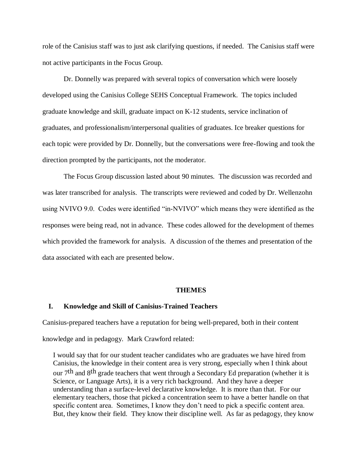role of the Canisius staff was to just ask clarifying questions, if needed. The Canisius staff were not active participants in the Focus Group.

Dr. Donnelly was prepared with several topics of conversation which were loosely developed using the Canisius College SEHS Conceptual Framework. The topics included graduate knowledge and skill, graduate impact on K-12 students, service inclination of graduates, and professionalism/interpersonal qualities of graduates. Ice breaker questions for each topic were provided by Dr. Donnelly, but the conversations were free-flowing and took the direction prompted by the participants, not the moderator.

The Focus Group discussion lasted about 90 minutes. The discussion was recorded and was later transcribed for analysis. The transcripts were reviewed and coded by Dr. Wellenzohn using NVIVO 9.0. Codes were identified "in-NVIVO" which means they were identified as the responses were being read, not in advance. These codes allowed for the development of themes which provided the framework for analysis. A discussion of the themes and presentation of the data associated with each are presented below.

#### **THEMES**

### **I. Knowledge and Skill of Canisius-Trained Teachers**

Canisius-prepared teachers have a reputation for being well-prepared, both in their content

knowledge and in pedagogy. Mark Crawford related:

I would say that for our student teacher candidates who are graduates we have hired from Canisius, the knowledge in their content area is very strong, especially when I think about our 7th and 8th grade teachers that went through a Secondary Ed preparation (whether it is Science, or Language Arts), it is a very rich background. And they have a deeper understanding than a surface-level declarative knowledge. It is more than that. For our elementary teachers, those that picked a concentration seem to have a better handle on that specific content area. Sometimes, I know they don't need to pick a specific content area. But, they know their field. They know their discipline well. As far as pedagogy, they know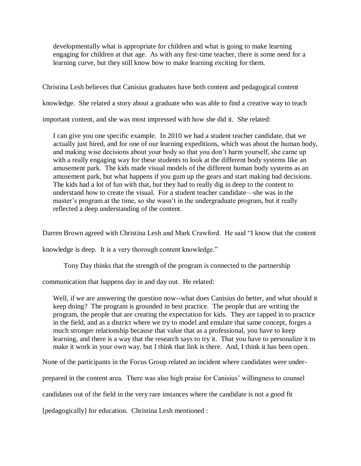developmentally what is appropriate for children and what is going to make learning engaging for children at that age. As with any first-time teacher, there is some need for a learning curve, but they still know how to make learning exciting for them.

Christina Lesh believes that Canisius graduates have both content and pedagogical content

knowledge. She related a story about a graduate who was able to find a creative way to teach

important content, and she was most impressed with how she did it. She related:

I can give you one specific example. In 2010 we had a student teacher candidate, that we actually just hired, and for one of our learning expeditions, which was about the human body, and making wise decisions about your body so that you don't harm yourself, she came up with a really engaging way for these students to look at the different body systems like an amusement park. The kids made visual models of the different human body systems as an amusement park, but what happens if you gum up the gears and start making bad decisions. The kids had a lot of fun with that, but they had to really dig in deep to the content to understand how to create the visual. For a student teacher candidate—she was in the master's program at the time, so she wasn't in the undergraduate program, but it really reflected a deep understanding of the content.

Darren Brown agreed with Christina Lesh and Mark Crawford. He said "I know that the content

knowledge is deep. It is a very thorough content knowledge."

Tony Day thinks that the strength of the program is connected to the partnership

communication that happens day in and day out. He related:

Well, if we are answering the question now--what does Canisius do better, and what should it keep doing? The program is grounded in best practice. The people that are writing the program, the people that are creating the expectation for kids. They are tapped in to practice in the field, and as a district where we try to model and emulate that same concept, forges a much stronger relationship because that value that as a professional, you have to keep learning, and there is a way that the research says to try it. That you have to personalize it to make it work in your own way, but I think that link is there. And, I think it has been open.

None of the participants in the Focus Group related an incident where candidates were under-

prepared in the content area. There was also high praise for Canisius' willingness to counsel

candidates out of the field in the very rare instances where the candidate is not a good fit

[pedagogically] for education. Christina Lesh mentioned :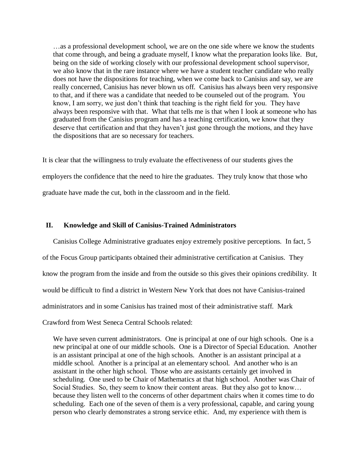…as a professional development school, we are on the one side where we know the students that come through, and being a graduate myself, I know what the preparation looks like. But, being on the side of working closely with our professional development school supervisor, we also know that in the rare instance where we have a student teacher candidate who really does not have the dispositions for teaching, when we come back to Canisius and say, we are really concerned, Canisius has never blown us off. Canisius has always been very responsive to that, and if there was a candidate that needed to be counseled out of the program. You know, I am sorry, we just don't think that teaching is the right field for you. They have always been responsive with that. What that tells me is that when I look at someone who has graduated from the Canisius program and has a teaching certification, we know that they deserve that certification and that they haven't just gone through the motions, and they have the dispositions that are so necessary for teachers.

It is clear that the willingness to truly evaluate the effectiveness of our students gives the employers the confidence that the need to hire the graduates. They truly know that those who graduate have made the cut, both in the classroom and in the field.

#### **II. Knowledge and Skill of Canisius-Trained Administrators**

Canisius College Administrative graduates enjoy extremely positive perceptions. In fact, 5 of the Focus Group participants obtained their administrative certification at Canisius. They know the program from the inside and from the outside so this gives their opinions credibility. It would be difficult to find a district in Western New York that does not have Canisius-trained administrators and in some Canisius has trained most of their administrative staff. Mark Crawford from West Seneca Central Schools related:

We have seven current administrators. One is principal at one of our high schools. One is a new principal at one of our middle schools. One is a Director of Special Education. Another is an assistant principal at one of the high schools. Another is an assistant principal at a middle school. Another is a principal at an elementary school. And another who is an assistant in the other high school. Those who are assistants certainly get involved in scheduling. One used to be Chair of Mathematics at that high school. Another was Chair of Social Studies. So, they seem to know their content areas. But they also got to know… because they listen well to the concerns of other department chairs when it comes time to do scheduling. Each one of the seven of them is a very professional, capable, and caring young person who clearly demonstrates a strong service ethic. And, my experience with them is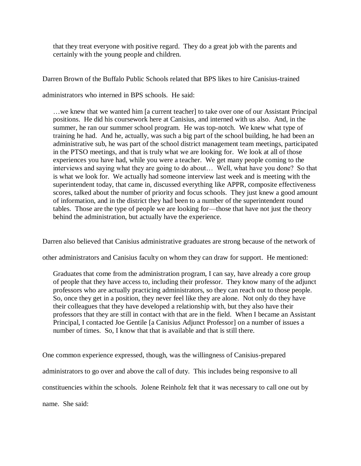that they treat everyone with positive regard. They do a great job with the parents and certainly with the young people and children.

Darren Brown of the Buffalo Public Schools related that BPS likes to hire Canisius-trained

administrators who interned in BPS schools. He said:

…we knew that we wanted him [a current teacher] to take over one of our Assistant Principal positions. He did his coursework here at Canisius, and interned with us also. And, in the summer, he ran our summer school program. He was top-notch. We knew what type of training he had. And he, actually, was such a big part of the school building, he had been an administrative sub, he was part of the school district management team meetings, participated in the PTSO meetings, and that is truly what we are looking for. We look at all of those experiences you have had, while you were a teacher. We get many people coming to the interviews and saying what they are going to do about… Well, what have you done? So that is what we look for. We actually had someone interview last week and is meeting with the superintendent today, that came in, discussed everything like APPR, composite effectiveness scores, talked about the number of priority and focus schools. They just knew a good amount of information, and in the district they had been to a number of the superintendent round tables. Those are the type of people we are looking for—those that have not just the theory behind the administration, but actually have the experience.

Darren also believed that Canisius administrative graduates are strong because of the network of

other administrators and Canisius faculty on whom they can draw for support. He mentioned:

Graduates that come from the administration program, I can say, have already a core group of people that they have access to, including their professor. They know many of the adjunct professors who are actually practicing administrators, so they can reach out to those people. So, once they get in a position, they never feel like they are alone. Not only do they have their colleagues that they have developed a relationship with, but they also have their professors that they are still in contact with that are in the field. When I became an Assistant Principal, I contacted Joe Gentile [a Canisius Adjunct Professor] on a number of issues a number of times. So, I know that that is available and that is still there.

One common experience expressed, though, was the willingness of Canisius-prepared administrators to go over and above the call of duty. This includes being responsive to all constituencies within the schools. Jolene Reinholz felt that it was necessary to call one out by name. She said: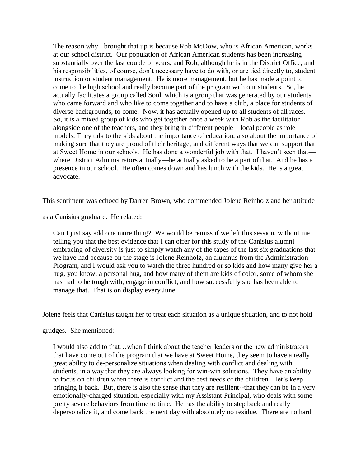The reason why I brought that up is because Rob McDow, who is African American, works at our school district. Our population of African American students has been increasing substantially over the last couple of years, and Rob, although he is in the District Office, and his responsibilities, of course, don't necessary have to do with, or are tied directly to, student instruction or student management. He is more management, but he has made a point to come to the high school and really become part of the program with our students. So, he actually facilitates a group called Soul, which is a group that was generated by our students who came forward and who like to come together and to have a club, a place for students of diverse backgrounds, to come. Now, it has actually opened up to all students of all races. So, it is a mixed group of kids who get together once a week with Rob as the facilitator alongside one of the teachers, and they bring in different people—local people as role models. They talk to the kids about the importance of education, also about the importance of making sure that they are proud of their heritage, and different ways that we can support that at Sweet Home in our schools. He has done a wonderful job with that. I haven't seen that where District Administrators actually—he actually asked to be a part of that. And he has a presence in our school. He often comes down and has lunch with the kids. He is a great advocate.

This sentiment was echoed by Darren Brown, who commended Jolene Reinholz and her attitude

as a Canisius graduate. He related:

Can I just say add one more thing? We would be remiss if we left this session, without me telling you that the best evidence that I can offer for this study of the Canisius alumni embracing of diversity is just to simply watch any of the tapes of the last six graduations that we have had because on the stage is Jolene Reinholz, an alumnus from the Administration Program, and I would ask you to watch the three hundred or so kids and how many give her a hug, you know, a personal hug, and how many of them are kids of color, some of whom she has had to be tough with, engage in conflict, and how successfully she has been able to manage that. That is on display every June.

Jolene feels that Canisius taught her to treat each situation as a unique situation, and to not hold

grudges. She mentioned:

I would also add to that…when I think about the teacher leaders or the new administrators that have come out of the program that we have at Sweet Home, they seem to have a really great ability to de-personalize situations when dealing with conflict and dealing with students, in a way that they are always looking for win-win solutions. They have an ability to focus on children when there is conflict and the best needs of the children—let's keep bringing it back. But, there is also the sense that they are resilient--that they can be in a very emotionally-charged situation, especially with my Assistant Principal, who deals with some pretty severe behaviors from time to time. He has the ability to step back and really depersonalize it, and come back the next day with absolutely no residue. There are no hard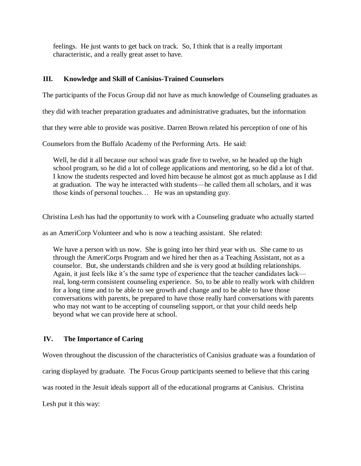feelings. He just wants to get back on track. So, I think that is a really important characteristic, and a really great asset to have.

# **III. Knowledge and Skill of Canisius-Trained Counselors**

The participants of the Focus Group did not have as much knowledge of Counseling graduates as

they did with teacher preparation graduates and administrative graduates, but the information

that they were able to provide was positive. Darren Brown related his perception of one of his

Counselors from the Buffalo Academy of the Performing Arts. He said:

Well, he did it all because our school was grade five to twelve, so he headed up the high school program, so he did a lot of college applications and mentoring, so he did a lot of that. I know the students respected and loved him because he almost got as much applause as I did at graduation. The way he interacted with students—he called them all scholars, and it was those kinds of personal touches… He was an upstanding guy.

Christina Lesh has had the opportunity to work with a Counseling graduate who actually started

as an AmeriCorp Volunteer and who is now a teaching assistant. She related:

We have a person with us now. She is going into her third year with us. She came to us through the AmeriCorps Program and we hired her then as a Teaching Assistant, not as a counselor. But, she understands children and she is very good at building relationships. Again, it just feels like it's the same type of experience that the teacher candidates lack real, long-term consistent counseling experience. So, to be able to really work with children for a long time and to be able to see growth and change and to be able to have those conversations with parents, be prepared to have those really hard conversations with parents who may not want to be accepting of counseling support, or that your child needs help beyond what we can provide here at school.

# **IV. The Importance of Caring**

Woven throughout the discussion of the characteristics of Canisius graduate was a foundation of caring displayed by graduate. The Focus Group participants seemed to believe that this caring was rooted in the Jesuit ideals support all of the educational programs at Canisius. Christina Lesh put it this way: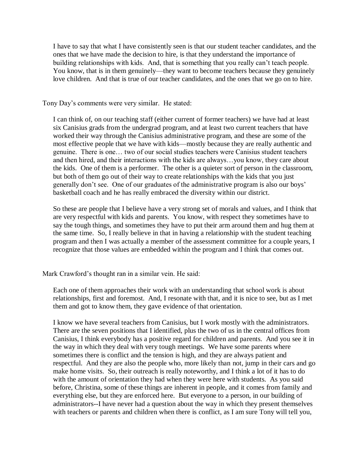I have to say that what I have consistently seen is that our student teacher candidates, and the ones that we have made the decision to hire, is that they understand the importance of building relationships with kids. And, that is something that you really can't teach people. You know, that is in them genuinely—they want to become teachers because they genuinely love children. And that is true of our teacher candidates, and the ones that we go on to hire.

Tony Day's comments were very similar. He stated:

I can think of, on our teaching staff (either current of former teachers) we have had at least six Canisius grads from the undergrad program, and at least two current teachers that have worked their way through the Canisius administrative program, and these are some of the most effective people that we have with kids—mostly because they are really authentic and genuine. There is one… two of our social studies teachers were Canisius student teachers and then hired, and their interactions with the kids are always…you know, they care about the kids. One of them is a performer. The other is a quieter sort of person in the classroom, but both of them go out of their way to create relationships with the kids that you just generally don't see. One of our graduates of the administrative program is also our boys' basketball coach and he has really embraced the diversity within our district.

So these are people that I believe have a very strong set of morals and values, and I think that are very respectful with kids and parents. You know, with respect they sometimes have to say the tough things, and sometimes they have to put their arm around them and hug them at the same time. So, I really believe in that in having a relationship with the student teaching program and then I was actually a member of the assessment committee for a couple years, I recognize that those values are embedded within the program and I think that comes out.

Mark Crawford's thought ran in a similar vein. He said:

Each one of them approaches their work with an understanding that school work is about relationships, first and foremost. And, I resonate with that, and it is nice to see, but as I met them and got to know them, they gave evidence of that orientation.

I know we have several teachers from Canisius, but I work mostly with the administrators. There are the seven positions that I identified, plus the two of us in the central offices from Canisius, I think everybody has a positive regard for children and parents. And you see it in the way in which they deal with very tough meetings. We have some parents where sometimes there is conflict and the tension is high, and they are always patient and respectful. And they are also the people who, more likely than not, jump in their cars and go make home visits. So, their outreach is really noteworthy, and I think a lot of it has to do with the amount of orientation they had when they were here with students. As you said before, Christina, some of these things are inherent in people, and it comes from family and everything else, but they are enforced here. But everyone to a person, in our building of administrators--I have never had a question about the way in which they present themselves with teachers or parents and children when there is conflict, as I am sure Tony will tell you,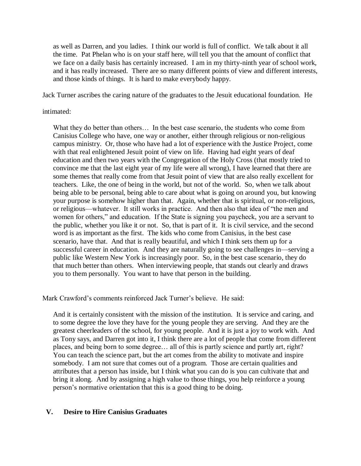as well as Darren, and you ladies. I think our world is full of conflict. We talk about it all the time. Pat Phelan who is on your staff here, will tell you that the amount of conflict that we face on a daily basis has certainly increased. I am in my thirty-ninth year of school work, and it has really increased. There are so many different points of view and different interests, and those kinds of things. It is hard to make everybody happy.

Jack Turner ascribes the caring nature of the graduates to the Jesuit educational foundation. He

### intimated:

What they do better than others… In the best case scenario, the students who come from Canisius College who have, one way or another, either through religious or non-religious campus ministry. Or, those who have had a lot of experience with the Justice Project, come with that real enlightened Jesuit point of view on life. Having had eight years of deaf education and then two years with the Congregation of the Holy Cross (that mostly tried to convince me that the last eight year of my life were all wrong), I have learned that there are some themes that really come from that Jesuit point of view that are also really excellent for teachers. Like, the one of being in the world, but not of the world. So, when we talk about being able to be personal, being able to care about what is going on around you, but knowing your purpose is somehow higher than that. Again, whether that is spiritual, or non-religious, or religious—whatever. It still works in practice. And then also that idea of "the men and women for others," and education. If the State is signing you paycheck, you are a servant to the public, whether you like it or not. So, that is part of it. It is civil service, and the second word is as important as the first. The kids who come from Canisius, in the best case scenario, have that. And that is really beautiful, and which I think sets them up for a successful career in education. And they are naturally going to see challenges in—serving a public like Western New York is increasingly poor. So, in the best case scenario, they do that much better than others. When interviewing people, that stands out clearly and draws you to them personally. You want to have that person in the building.

Mark Crawford's comments reinforced Jack Turner's believe. He said:

And it is certainly consistent with the mission of the institution. It is service and caring, and to some degree the love they have for the young people they are serving. And they are the greatest cheerleaders of the school, for young people. And it is just a joy to work with. And as Tony says, and Darren got into it, I think there are a lot of people that come from different places, and being born to some degree… all of this is partly science and partly art, right? You can teach the science part, but the art comes from the ability to motivate and inspire somebody. I am not sure that comes out of a program. Those are certain qualities and attributes that a person has inside, but I think what you can do is you can cultivate that and bring it along. And by assigning a high value to those things, you help reinforce a young person's normative orientation that this is a good thing to be doing.

## **V. Desire to Hire Canisius Graduates**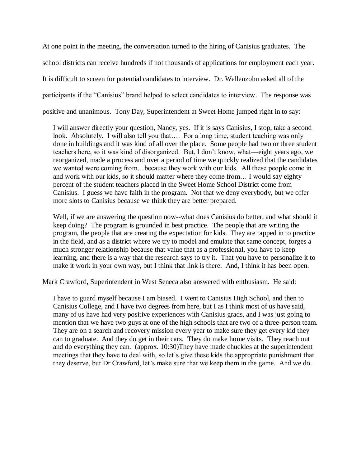At one point in the meeting, the conversation turned to the hiring of Canisius graduates. The school districts can receive hundreds if not thousands of applications for employment each year. It is difficult to screen for potential candidates to interview. Dr. Wellenzohn asked all of the participants if the "Canisius" brand helped to select candidates to interview. The response was positive and unanimous. Tony Day, Superintendent at Sweet Home jumped right in to say:

I will answer directly your question, Nancy, yes. If it is says Canisius, I stop, take a second look. Absolutely. I will also tell you that…. For a long time, student teaching was only done in buildings and it was kind of all over the place. Some people had two or three student teachers here, so it was kind of disorganized. But, I don't know, what—eight years ago, we reorganized, made a process and over a period of time we quickly realized that the candidates we wanted were coming from…because they work with our kids. All these people come in and work with our kids, so it should matter where they come from… I would say eighty percent of the student teachers placed in the Sweet Home School District come from Canisius. I guess we have faith in the program. Not that we deny everybody, but we offer more slots to Canisius because we think they are better prepared.

Well, if we are answering the question now--what does Canisius do better, and what should it keep doing? The program is grounded in best practice. The people that are writing the program, the people that are creating the expectation for kids. They are tapped in to practice in the field, and as a district where we try to model and emulate that same concept, forges a much stronger relationship because that value that as a professional, you have to keep learning, and there is a way that the research says to try it. That you have to personalize it to make it work in your own way, but I think that link is there. And, I think it has been open.

Mark Crawford, Superintendent in West Seneca also answered with enthusiasm. He said:

I have to guard myself because I am biased. I went to Canisius High School, and then to Canisius College, and I have two degrees from here, but I as I think most of us have said, many of us have had very positive experiences with Canisius grads, and I was just going to mention that we have two guys at one of the high schools that are two of a three-person team. They are on a search and recovery mission every year to make sure they get every kid they can to graduate. And they do get in their cars. They do make home visits. They reach out and do everything they can. (approx. 10:30)They have made chuckles at the superintendent meetings that they have to deal with, so let's give these kids the appropriate punishment that they deserve, but Dr Crawford, let's make sure that we keep them in the game. And we do.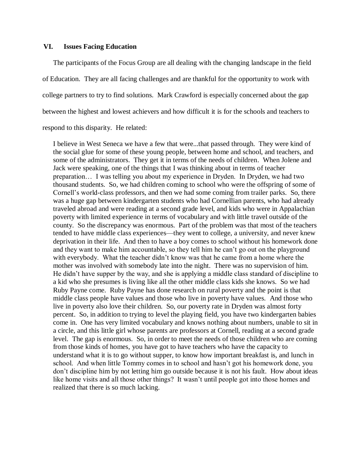### **VI. Issues Facing Education**

The participants of the Focus Group are all dealing with the changing landscape in the field of Education. They are all facing challenges and are thankful for the opportunity to work with college partners to try to find solutions. Mark Crawford is especially concerned about the gap between the highest and lowest achievers and how difficult it is for the schools and teachers to respond to this disparity. He related:

I believe in West Seneca we have a few that were...that passed through. They were kind of the social glue for some of these young people, between home and school, and teachers, and some of the administrators. They get it in terms of the needs of children. When Jolene and Jack were speaking, one of the things that I was thinking about in terms of teacher preparation… I was telling you about my experience in Dryden. In Dryden, we had two thousand students. So, we had children coming to school who were the offspring of some of Cornell's world-class professors, and then we had some coming from trailer parks. So, there was a huge gap between kindergarten students who had Cornellian parents, who had already traveled abroad and were reading at a second grade level, and kids who were in Appalachian poverty with limited experience in terms of vocabulary and with little travel outside of the county. So the discrepancy was enormous. Part of the problem was that most of the teachers tended to have middle class experiences—they went to college, a university, and never knew deprivation in their life. And then to have a boy comes to school without his homework done and they want to make him accountable, so they tell him he can't go out on the playground with everybody. What the teacher didn't know was that he came from a home where the mother was involved with somebody late into the night. There was no supervision of him. He didn't have supper by the way, and she is applying a middle class standard of discipline to a kid who she presumes is living like all the other middle class kids she knows. So we had Ruby Payne come. Ruby Payne has done research on rural poverty and the point is that middle class people have values and those who live in poverty have values. And those who live in poverty also love their children. So, our poverty rate in Dryden was almost forty percent. So, in addition to trying to level the playing field, you have two kindergarten babies come in. One has very limited vocabulary and knows nothing about numbers, unable to sit in a circle, and this little girl whose parents are professors at Cornell, reading at a second grade level. The gap is enormous. So, in order to meet the needs of those children who are coming from those kinds of homes, you have got to have teachers who have the capacity to understand what it is to go without supper, to know how important breakfast is, and lunch in school. And when little Tommy comes in to school and hasn't got his homework done, you don't discipline him by not letting him go outside because it is not his fault. How about ideas like home visits and all those other things? It wasn't until people got into those homes and realized that there is so much lacking.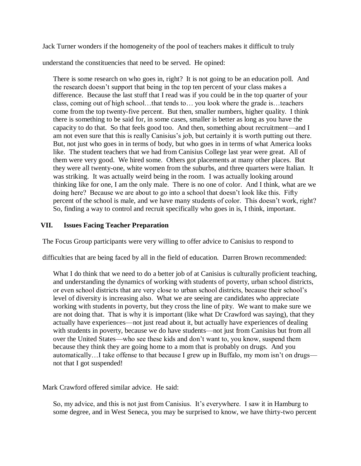Jack Turner wonders if the homogeneity of the pool of teachers makes it difficult to truly

understand the constituencies that need to be served. He opined:

There is some research on who goes in, right? It is not going to be an education poll. And the research doesn't support that being in the top ten percent of your class makes a difference. Because the last stuff that I read was if you could be in the top quarter of your class, coming out of high school…that tends to… you look where the grade is…teachers come from the top twenty-five percent. But then, smaller numbers, higher quality. I think there is something to be said for, in some cases, smaller is better as long as you have the capacity to do that. So that feels good too. And then, something about recruitment—and I am not even sure that this is really Canisius's job, but certainly it is worth putting out there. But, not just who goes in in terms of body, but who goes in in terms of what America looks like. The student teachers that we had from Canisius College last year were great. All of them were very good. We hired some. Others got placements at many other places. But they were all twenty-one, white women from the suburbs, and three quarters were Italian. It was striking. It was actually weird being in the room. I was actually looking around thinking like for one, I am the only male. There is no one of color. And I think, what are we doing here? Because we are about to go into a school that doesn't look like this. Fifty percent of the school is male, and we have many students of color. This doesn't work, right? So, finding a way to control and recruit specifically who goes in is, I think, important.

### **VII. Issues Facing Teacher Preparation**

The Focus Group participants were very willing to offer advice to Canisius to respond to

difficulties that are being faced by all in the field of education. Darren Brown recommended:

What I do think that we need to do a better job of at Canisius is culturally proficient teaching, and understanding the dynamics of working with students of poverty, urban school districts, or even school districts that are very close to urban school districts, because their school's level of diversity is increasing also. What we are seeing are candidates who appreciate working with students in poverty, but they cross the line of pity. We want to make sure we are not doing that. That is why it is important (like what Dr Crawford was saying), that they actually have experiences—not just read about it, but actually have experiences of dealing with students in poverty, because we do have students—not just from Canisius but from all over the United States—who see these kids and don't want to, you know, suspend them because they think they are going home to a mom that is probably on drugs. And you automatically…I take offense to that because I grew up in Buffalo, my mom isn't on drugs not that I got suspended!

Mark Crawford offered similar advice. He said:

So, my advice, and this is not just from Canisius. It's everywhere. I saw it in Hamburg to some degree, and in West Seneca, you may be surprised to know, we have thirty-two percent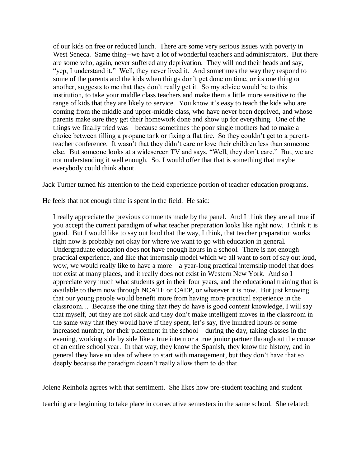of our kids on free or reduced lunch. There are some very serious issues with poverty in West Seneca. Same thing--we have a lot of wonderful teachers and administrators. But there are some who, again, never suffered any deprivation. They will nod their heads and say, "yep, I understand it." Well, they never lived it. And sometimes the way they respond to some of the parents and the kids when things don't get done on time, or its one thing or another, suggests to me that they don't really get it. So my advice would be to this institution, to take your middle class teachers and make them a little more sensitive to the range of kids that they are likely to service. You know it's easy to teach the kids who are coming from the middle and upper-middle class, who have never been deprived, and whose parents make sure they get their homework done and show up for everything. One of the things we finally tried was—because sometimes the poor single mothers had to make a choice between filling a propane tank or fixing a flat tire. So they couldn't get to a parentteacher conference. It wasn't that they didn't care or love their children less than someone else. But someone looks at a widescreen TV and says, "Well, they don't care." But, we are not understanding it well enough. So, I would offer that that is something that maybe everybody could think about.

Jack Turner turned his attention to the field experience portion of teacher education programs.

He feels that not enough time is spent in the field. He said:

I really appreciate the previous comments made by the panel. And I think they are all true if you accept the current paradigm of what teacher preparation looks like right now. I think it is good. But I would like to say out loud that the way, I think, that teacher preparation works right now is probably not okay for where we want to go with education in general. Undergraduate education does not have enough hours in a school. There is not enough practical experience, and like that internship model which we all want to sort of say out loud, wow, we would really like to have a more—a year-long practical internship model that does not exist at many places, and it really does not exist in Western New York. And so I appreciate very much what students get in their four years, and the educational training that is available to them now through NCATE or CAEP, or whatever it is now. But just knowing that our young people would benefit more from having more practical experience in the classroom… Because the one thing that they do have is good content knowledge, I will say that myself, but they are not slick and they don't make intelligent moves in the classroom in the same way that they would have if they spent, let's say, five hundred hours or some increased number, for their placement in the school—during the day, taking classes in the evening, working side by side like a true intern or a true junior partner throughout the course of an entire school year. In that way, they know the Spanish, they know the history, and in general they have an idea of where to start with management, but they don't have that so deeply because the paradigm doesn't really allow them to do that.

Jolene Reinholz agrees with that sentiment. She likes how pre-student teaching and student

teaching are beginning to take place in consecutive semesters in the same school. She related: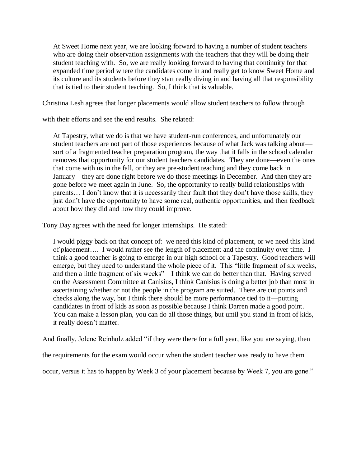At Sweet Home next year, we are looking forward to having a number of student teachers who are doing their observation assignments with the teachers that they will be doing their student teaching with. So, we are really looking forward to having that continuity for that expanded time period where the candidates come in and really get to know Sweet Home and its culture and its students before they start really diving in and having all that responsibility that is tied to their student teaching. So, I think that is valuable.

Christina Lesh agrees that longer placements would allow student teachers to follow through

with their efforts and see the end results. She related:

At Tapestry, what we do is that we have student-run conferences, and unfortunately our student teachers are not part of those experiences because of what Jack was talking about sort of a fragmented teacher preparation program, the way that it falls in the school calendar removes that opportunity for our student teachers candidates. They are done—even the ones that come with us in the fall, or they are pre-student teaching and they come back in January—they are done right before we do those meetings in December. And then they are gone before we meet again in June. So, the opportunity to really build relationships with parents… I don't know that it is necessarily their fault that they don't have those skills, they just don't have the opportunity to have some real, authentic opportunities, and then feedback about how they did and how they could improve.

Tony Day agrees with the need for longer internships. He stated:

I would piggy back on that concept of: we need this kind of placement, or we need this kind of placement…. I would rather see the length of placement and the continuity over time. I think a good teacher is going to emerge in our high school or a Tapestry. Good teachers will emerge, but they need to understand the whole piece of it. This "little fragment of six weeks, and then a little fragment of six weeks"—I think we can do better than that. Having served on the Assessment Committee at Canisius, I think Canisius is doing a better job than most in ascertaining whether or not the people in the program are suited. There are cut points and checks along the way, but I think there should be more performance tied to it—putting candidates in front of kids as soon as possible because I think Darren made a good point. You can make a lesson plan, you can do all those things, but until you stand in front of kids, it really doesn't matter.

And finally, Jolene Reinholz added "if they were there for a full year, like you are saying, then

the requirements for the exam would occur when the student teacher was ready to have them

occur, versus it has to happen by Week 3 of your placement because by Week 7, you are gone."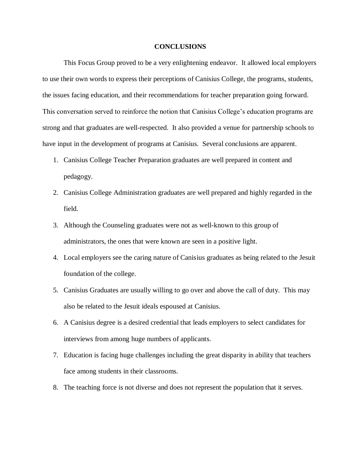#### **CONCLUSIONS**

This Focus Group proved to be a very enlightening endeavor. It allowed local employers to use their own words to express their perceptions of Canisius College, the programs, students, the issues facing education, and their recommendations for teacher preparation going forward. This conversation served to reinforce the notion that Canisius College's education programs are strong and that graduates are well-respected. It also provided a venue for partnership schools to have input in the development of programs at Canisius. Several conclusions are apparent.

- 1. Canisius College Teacher Preparation graduates are well prepared in content and pedagogy.
- 2. Canisius College Administration graduates are well prepared and highly regarded in the field.
- 3. Although the Counseling graduates were not as well-known to this group of administrators, the ones that were known are seen in a positive light.
- 4. Local employers see the caring nature of Canisius graduates as being related to the Jesuit foundation of the college.
- 5. Canisius Graduates are usually willing to go over and above the call of duty. This may also be related to the Jesuit ideals espoused at Canisius.
- 6. A Canisius degree is a desired credential that leads employers to select candidates for interviews from among huge numbers of applicants.
- 7. Education is facing huge challenges including the great disparity in ability that teachers face among students in their classrooms.
- 8. The teaching force is not diverse and does not represent the population that it serves.